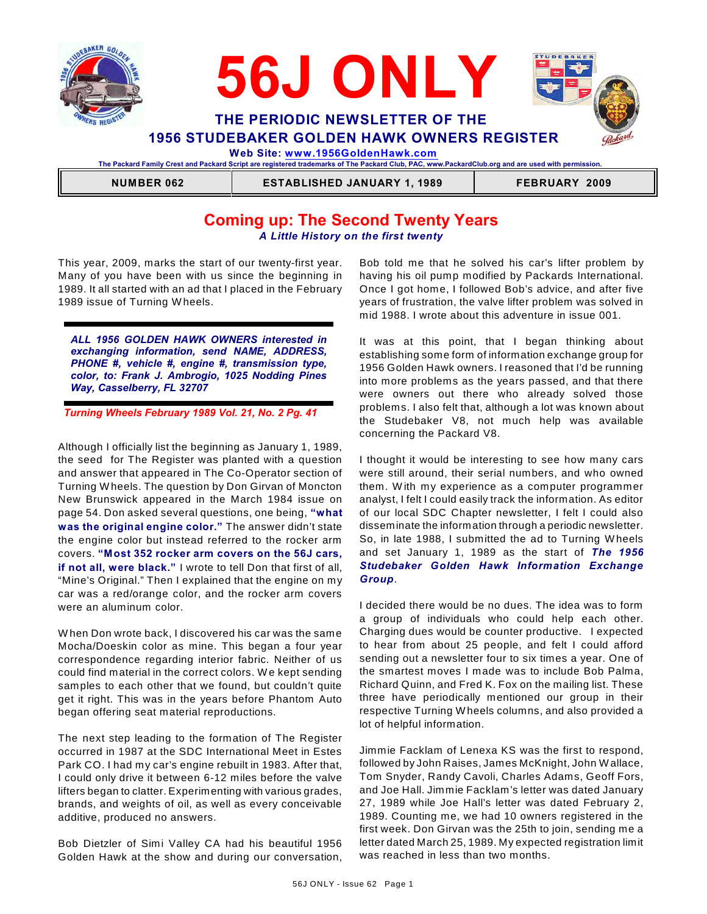



**The Packard Family Crest and Packard Script are registered trademarks of The Packard Club, PAC, www.PackardClub.org and are used with permission.** 

 **NUMBER 062 ESTABLISHED JANUARY 1, 1989 FEBRUARY 2009**

# **Coming up: The Second Twenty Years** *A Little History on the first twenty*

This year, 2009, marks the start of our twenty-first year. Many of you have been with us since the beginning in 1989. It all started with an ad that I placed in the February 1989 issue of Turning W heels.

*ALL 1956 GOLDEN HAWK OWNERS interested in exchanging information, send NAME, ADDRESS, PHONE #, vehicle #, engine #, transmission type, color, to: Frank J. Ambrogio, 1025 Nodding Pines Way, Casselberry, FL 32707*

*Turning Wheels February 1989 Vol. 21, No. 2 Pg. 41*

Although I officially list the beginning as January 1, 1989, the seed for The Register was planted with a question and answer that appeared in The Co-Operator section of Turning W heels. The question by Don Girvan of Moncton New Brunswick appeared in the March 1984 issue on page 54. Don asked several questions, one being, **"what was the original engine color."** The answer didn't state the engine color but instead referred to the rocker arm covers. **"Most 352 rocker arm covers on the 56J cars, if not all, were black."** I wrote to tell Don that first of all, "Mine's Original." Then I explained that the engine on my car was a red/orange color, and the rocker arm covers were an aluminum color.

W hen Don wrote back, I discovered his car was the same Mocha/Doeskin color as mine. This began a four year correspondence regarding interior fabric. Neither of us could find material in the correct colors. W e kept sending samples to each other that we found, but couldn't quite get it right. This was in the years before Phantom Auto began offering seat material reproductions.

The next step leading to the formation of The Register occurred in 1987 at the SDC International Meet in Estes Park CO. I had my car's engine rebuilt in 1983. After that, I could only drive it between 6-12 miles before the valve lifters began to clatter. Experimenting with various grades, brands, and weights of oil, as well as every conceivable additive, produced no answers.

Bob Dietzler of Simi Valley CA had his beautiful 1956 Golden Hawk at the show and during our conversation,

Bob told me that he solved his car's lifter problem by having his oil pump modified by Packards International. Once I got home, I followed Bob's advice, and after five years of frustration, the valve lifter problem was solved in mid 1988. I wrote about this adventure in issue 001.

It was at this point, that I began thinking about establishing some form of information exchange group for 1956 Golden Hawk owners. I reasoned that I'd be running into more problems as the years passed, and that there were owners out there who already solved those problems. I also felt that, although a lot was known about the Studebaker V8, not much help was available concerning the Packard V8.

I thought it would be interesting to see how many cars were still around, their serial numbers, and who owned them. W ith my experience as a computer programmer analyst, I felt I could easily track the information. As editor of our local SDC Chapter newsletter, I felt I could also disseminate the information through a periodic newsletter. So, in late 1988, I submitted the ad to Turning W heels and set January 1, 1989 as the start of *The 1956 Studebaker Golden Hawk Information Exchange Group*.

I decided there would be no dues. The idea was to form a group of individuals who could help each other. Charging dues would be counter productive. I expected to hear from about 25 people, and felt I could afford sending out a newsletter four to six times a year. One of the smartest moves I made was to include Bob Palma, Richard Quinn, and Fred K. Fox on the mailing list. These three have periodically mentioned our group in their respective Turning W heels columns, and also provided a lot of helpful information.

Jimmie Facklam of Lenexa KS was the first to respond, followed by John Raises, James McKnight, John W allace, Tom Snyder, Randy Cavoli, Charles Adams, Geoff Fors, and Joe Hall. Jimmie Facklam's letter was dated January 27, 1989 while Joe Hall's letter was dated February 2, 1989. Counting me, we had 10 owners registered in the first week. Don Girvan was the 25th to join, sending me a letter dated March 25, 1989. My expected registration limit was reached in less than two months.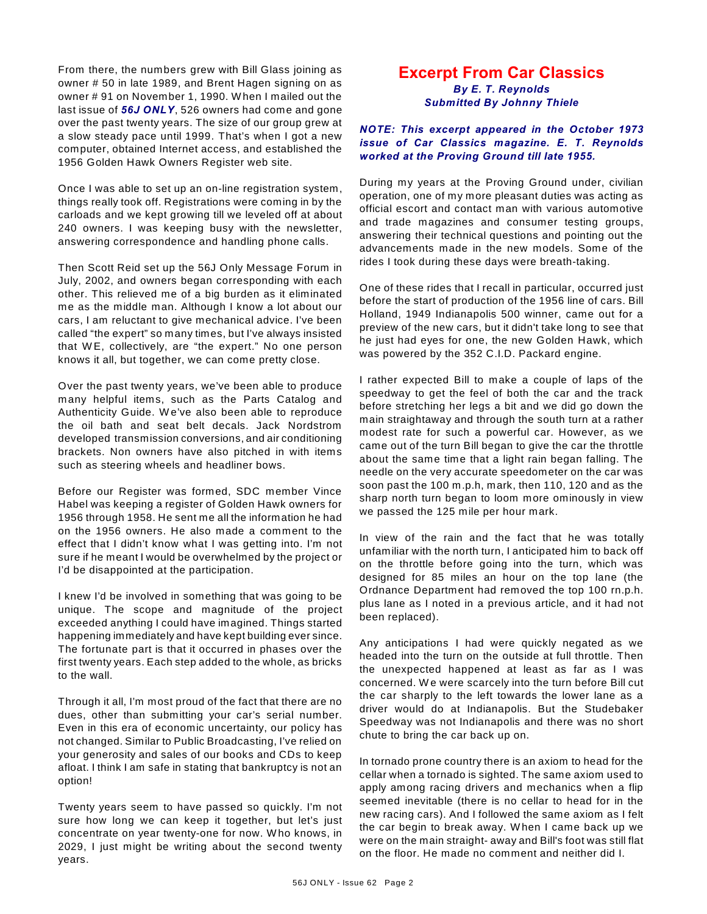From there, the numbers grew with Bill Glass joining as owner # 50 in late 1989, and Brent Hagen signing on as owner # 91 on November 1, 1990. W hen I mailed out the last issue of *56J ONLY*, 526 owners had come and gone over the past twenty years. The size of our group grew at a slow steady pace until 1999. That's when I got a new computer, obtained Internet access, and established the 1956 Golden Hawk Owners Register web site.

Once I was able to set up an on-line registration system, things really took off. Registrations were coming in by the carloads and we kept growing till we leveled off at about 240 owners. I was keeping busy with the newsletter, answering correspondence and handling phone calls.

Then Scott Reid set up the 56J Only Message Forum in July, 2002, and owners began corresponding with each other. This relieved me of a big burden as it eliminated me as the middle man. Although I know a lot about our cars, I am reluctant to give mechanical advice. I've been called "the expert" so many times, but I've always insisted that W E, collectively, are "the expert." No one person knows it all, but together, we can come pretty close.

Over the past twenty years, we've been able to produce many helpful items, such as the Parts Catalog and Authenticity Guide. W e've also been able to reproduce the oil bath and seat belt decals. Jack Nordstrom developed transmission conversions, and air conditioning brackets. Non owners have also pitched in with items such as steering wheels and headliner bows.

Before our Register was formed, SDC member Vince Habel was keeping a register of Golden Hawk owners for 1956 through 1958. He sent me all the information he had on the 1956 owners. He also made a comment to the effect that I didn't know what I was getting into. I'm not sure if he meant I would be overwhelmed by the project or I'd be disappointed at the participation.

I knew I'd be involved in something that was going to be unique. The scope and magnitude of the project exceeded anything I could have imagined. Things started happening immediately and have kept building ever since. The fortunate part is that it occurred in phases over the first twenty years. Each step added to the whole, as bricks to the wall.

Through it all, I'm most proud of the fact that there are no dues, other than submitting your car's serial number. Even in this era of economic uncertainty, our policy has not changed. Similar to Public Broadcasting, I've relied on your generosity and sales of our books and CDs to keep afloat. I think I am safe in stating that bankruptcy is not an option!

Twenty years seem to have passed so quickly. I'm not sure how long we can keep it together, but let's just concentrate on year twenty-one for now. W ho knows, in 2029, I just might be writing about the second twenty years.

## **Excerpt From Car Classics** *By E. T. Reynolds*

*Submitted By Johnny Thiele*

### *NOTE: This excerpt appeared in the October 1973 issue of Car Classics magazine. E. T. Reynolds worked at the Proving Ground till late 1955.*

During my years at the Proving Ground under, civilian operation, one of my more pleasant duties was acting as official escort and contact man with various automotive and trade magazines and consumer testing groups, answering their technical questions and pointing out the advancements made in the new models. Some of the rides I took during these days were breath-taking.

One of these rides that I recall in particular, occurred just before the start of production of the 1956 line of cars. Bill Holland, 1949 Indianapolis 500 winner, came out for a preview of the new cars, but it didn't take long to see that he just had eyes for one, the new Golden Hawk, which was powered by the 352 C.I.D. Packard engine.

I rather expected Bill to make a couple of laps of the speedway to get the feel of both the car and the track before stretching her legs a bit and we did go down the main straightaway and through the south turn at a rather modest rate for such a powerful car. However, as we came out of the turn Bill began to give the car the throttle about the same time that a light rain began falling. The needle on the very accurate speedometer on the car was soon past the 100 m.p.h, mark, then 110, 120 and as the sharp north turn began to loom more ominously in view we passed the 125 mile per hour mark.

In view of the rain and the fact that he was totally unfamiliar with the north turn, I anticipated him to back off on the throttle before going into the turn, which was designed for 85 miles an hour on the top lane (the Ordnance Department had removed the top 100 rn.p.h. plus lane as I noted in a previous article, and it had not been replaced).

Any anticipations I had were quickly negated as we headed into the turn on the outside at full throttle. Then the unexpected happened at least as far as I was concerned. W e were scarcely into the turn before Bill cut the car sharply to the left towards the lower lane as a driver would do at Indianapolis. But the Studebaker Speedway was not Indianapolis and there was no short chute to bring the car back up on.

In tornado prone country there is an axiom to head for the cellar when a tornado is sighted. The same axiom used to apply among racing drivers and mechanics when a flip seemed inevitable (there is no cellar to head for in the new racing cars). And I followed the same axiom as I felt the car begin to break away. W hen I came back up we were on the main straight- away and Bill's foot was still flat on the floor. He made no comment and neither did I.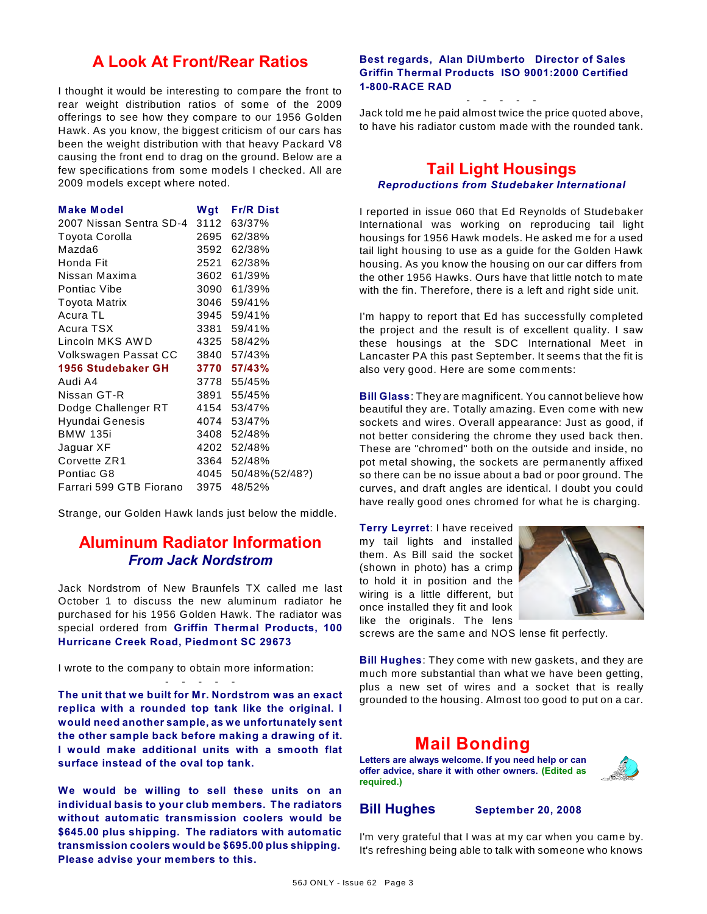# **A Look At Front/Rear Ratios**

I thought it would be interesting to compare the front to rear weight distribution ratios of some of the 2009 offerings to see how they compare to our 1956 Golden Hawk. As you know, the biggest criticism of our cars has been the weight distribution with that heavy Packard V8 causing the front end to drag on the ground. Below are a few specifications from some models I checked. All are 2009 models except where noted.

| <b>Make Model</b>       |      | Wgt Fr/R Dist        |
|-------------------------|------|----------------------|
| 2007 Nissan Sentra SD-4 |      | 3112 63/37%          |
| Toyota Corolla          |      | 2695 62/38%          |
| Mazda6                  |      | 3592 62/38%          |
| Honda Fit               |      | 2521 62/38%          |
| Nissan Maxima           |      | 3602 61/39%          |
| Pontiac Vibe            |      | 3090 61/39%          |
| <b>Toyota Matrix</b>    |      | 3046 59/41%          |
| Acura TL                |      | 3945 59/41%          |
| Acura TSX               |      | 3381 59/41%          |
| Lincoln MKS AWD         |      | 4325 58/42%          |
| Volkswagen Passat CC    |      | 3840 57/43%          |
| 1956 Studebaker GH      |      | 3770 57/43%          |
| Audi A4                 |      | 3778 55/45%          |
| Nissan GT-R             |      | 3891 55/45%          |
| Dodge Challenger RT     |      | 4154 53/47%          |
| Hyundai Genesis         |      | 4074 53/47%          |
| <b>BMW 135i</b>         |      | 3408 52/48%          |
| Jaguar XF               |      | 4202 52/48%          |
| Corvette ZR1            |      | 3364 52/48%          |
| Pontiac G8              |      | 4045 50/48% (52/48?) |
| Farrari 599 GTB Fiorano | 3975 | 48/52%               |

Strange, our Golden Hawk lands just below the middle.

# **Aluminum Radiator Information** *From Jack Nordstrom*

Jack Nordstrom of New Braunfels TX called me last October 1 to discuss the new aluminum radiator he purchased for his 1956 Golden Hawk. The radiator was special ordered from **Griffin Thermal Products, 100 Hurricane Creek Road, Piedmont SC 29673**

#### I wrote to the company to obtain more information: - - - - -

**The unit that we built for Mr. Nordstrom was an exact replica with a rounded top tank like the original. I would need another sample, as we unfortunately sent the other sample back before making a drawing of it. I would make additional units with a smooth flat surface instead of the oval top tank.** 

**We would be willing to sell these units on an individual basis to your club members. The radiators without automatic transmission coolers would be \$645.00 plus shipping. The radiators with automatic transmission coolers would be \$695.00 plus shipping. Please advise your members to this.**

### **Best regards, Alan DiUmberto Director of Sales Griffin Thermal Products ISO 9001:2000 Certified 1-800-RACE RAD**

- - - - -

Jack told me he paid almost twice the price quoted above, to have his radiator custom made with the rounded tank.

# **Tail Light Housings**

## *Reproductions from Studebaker International*

I reported in issue 060 that Ed Reynolds of Studebaker International was working on reproducing tail light housings for 1956 Hawk models. He asked me for a used tail light housing to use as a guide for the Golden Hawk housing. As you know the housing on our car differs from the other 1956 Hawks. Ours have that little notch to mate with the fin. Therefore, there is a left and right side unit.

I'm happy to report that Ed has successfully completed the project and the result is of excellent quality. I saw these housings at the SDC International Meet in Lancaster PA this past September. It seems that the fit is also very good. Here are some comments:

**Bill Glass**: They are magnificent. You cannot believe how beautiful they are. Totally amazing. Even come with new sockets and wires. Overall appearance: Just as good, if not better considering the chrome they used back then. These are "chromed" both on the outside and inside, no pot metal showing, the sockets are permanently affixed so there can be no issue about a bad or poor ground. The curves, and draft angles are identical. I doubt you could have really good ones chromed for what he is charging.

**Terry Leyrret**: I have received my tail lights and installed them. As Bill said the socket (shown in photo) has a crimp to hold it in position and the wiring is a little different, but once installed they fit and look like the originals. The lens



screws are the same and NOS lense fit perfectly.

**Bill Hughes**: They come with new gaskets, and they are much more substantial than what we have been getting, plus a new set of wires and a socket that is really grounded to the housing. Almost too good to put on a car.

# **Mail Bonding**

**Letters are always welcome. If you need help or can offer advice, share it with other owners. (Edited as required.)**

## **Bill Hughes September 20, 2008**

I'm very grateful that I was at my car when you came by. It's refreshing being able to talk with someone who knows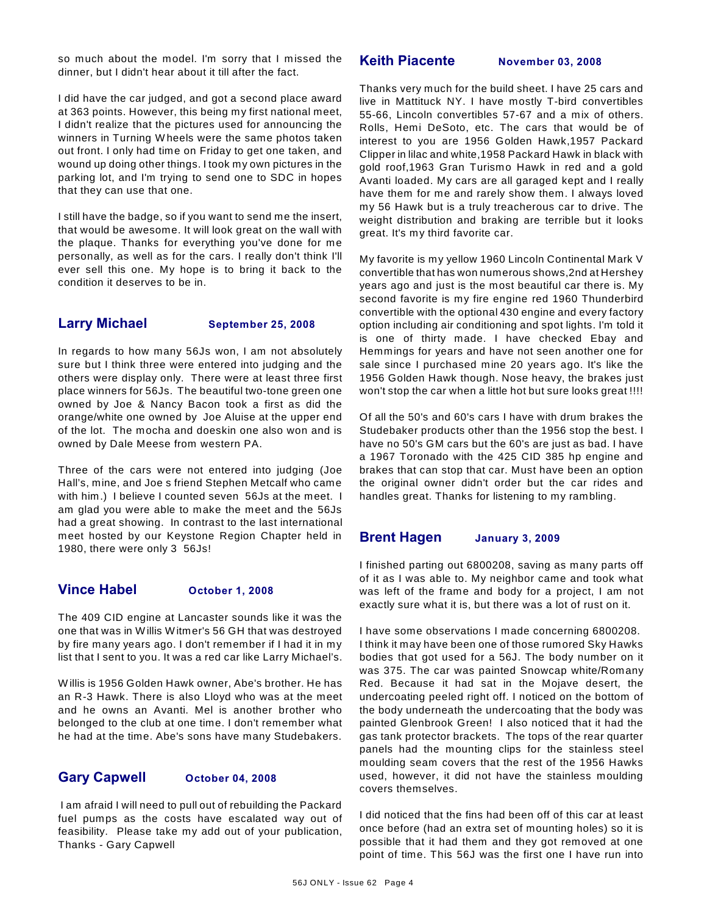so much about the model. I'm sorry that I missed the dinner, but I didn't hear about it till after the fact.

I did have the car judged, and got a second place award at 363 points. However, this being my first national meet, I didn't realize that the pictures used for announcing the winners in Turning W heels were the same photos taken out front. I only had time on Friday to get one taken, and wound up doing other things. I took my own pictures in the parking lot, and I'm trying to send one to SDC in hopes that they can use that one.

I still have the badge, so if you want to send me the insert, that would be awesome. It will look great on the wall with the plaque. Thanks for everything you've done for me personally, as well as for the cars. I really don't think I'll ever sell this one. My hope is to bring it back to the condition it deserves to be in.

## **Larry Michael September 25, 2008**

In regards to how many 56Js won, I am not absolutely sure but I think three were entered into judging and the others were display only. There were at least three first place winners for 56Js. The beautiful two-tone green one owned by Joe & Nancy Bacon took a first as did the orange/white one owned by Joe Aluise at the upper end of the lot. The mocha and doeskin one also won and is owned by Dale Meese from western PA.

Three of the cars were not entered into judging (Joe Hall's, mine, and Joe s friend Stephen Metcalf who came with him.) I believe I counted seven 56Js at the meet. I am glad you were able to make the meet and the 56Js had a great showing. In contrast to the last international meet hosted by our Keystone Region Chapter held in 1980, there were only 3 56Js!

## **Vince Habel October 1, 2008**

The 409 CID engine at Lancaster sounds like it was the one that was in W illis W itmer's 56 GH that was destroyed by fire many years ago. I don't remember if I had it in my list that I sent to you. It was a red car like Larry Michael's.

W illis is 1956 Golden Hawk owner, Abe's brother. He has an R-3 Hawk. There is also Lloyd who was at the meet and he owns an Avanti. Mel is another brother who belonged to the club at one time. I don't remember what he had at the time. Abe's sons have many Studebakers.

## **Gary Capwell October 04, 2008**

 I am afraid I will need to pull out of rebuilding the Packard fuel pumps as the costs have escalated way out of feasibility. Please take my add out of your publication, Thanks - Gary Capwell

## **Keith Piacente November 03, 2008**

Thanks very much for the build sheet. I have 25 cars and live in Mattituck NY. I have mostly T-bird convertibles 55-66, Lincoln convertibles 57-67 and a mix of others. Rolls, Hemi DeSoto, etc. The cars that would be of interest to you are 1956 Golden Hawk,1957 Packard Clipper in lilac and white,1958 Packard Hawk in black with gold roof,1963 Gran Turismo Hawk in red and a gold Avanti loaded. My cars are all garaged kept and I really have them for me and rarely show them. I always loved my 56 Hawk but is a truly treacherous car to drive. The weight distribution and braking are terrible but it looks great. It's my third favorite car.

My favorite is my yellow 1960 Lincoln Continental Mark V convertible that has won numerous shows,2nd at Hershey years ago and just is the most beautiful car there is. My second favorite is my fire engine red 1960 Thunderbird convertible with the optional 430 engine and every factory option including air conditioning and spot lights. I'm told it is one of thirty made. I have checked Ebay and Hemmings for years and have not seen another one for sale since I purchased mine 20 years ago. It's like the 1956 Golden Hawk though. Nose heavy, the brakes just won't stop the car when a little hot but sure looks great !!!!

Of all the 50's and 60's cars I have with drum brakes the Studebaker products other than the 1956 stop the best. I have no 50's GM cars but the 60's are just as bad. I have a 1967 Toronado with the 425 CID 385 hp engine and brakes that can stop that car. Must have been an option the original owner didn't order but the car rides and handles great. Thanks for listening to my rambling.

## **Brent Hagen January 3, 2009**

I finished parting out 6800208, saving as many parts off of it as I was able to. My neighbor came and took what was left of the frame and body for a project, I am not exactly sure what it is, but there was a lot of rust on it.

I have some observations I made concerning 6800208. I think it may have been one of those rumored Sky Hawks bodies that got used for a 56J. The body number on it was 375. The car was painted Snowcap white/Romany Red. Because it had sat in the Mojave desert, the undercoating peeled right off. I noticed on the bottom of the body underneath the undercoating that the body was painted Glenbrook Green! I also noticed that it had the gas tank protector brackets. The tops of the rear quarter panels had the mounting clips for the stainless steel moulding seam covers that the rest of the 1956 Hawks used, however, it did not have the stainless moulding covers themselves.

I did noticed that the fins had been off of this car at least once before (had an extra set of mounting holes) so it is possible that it had them and they got removed at one point of time. This 56J was the first one I have run into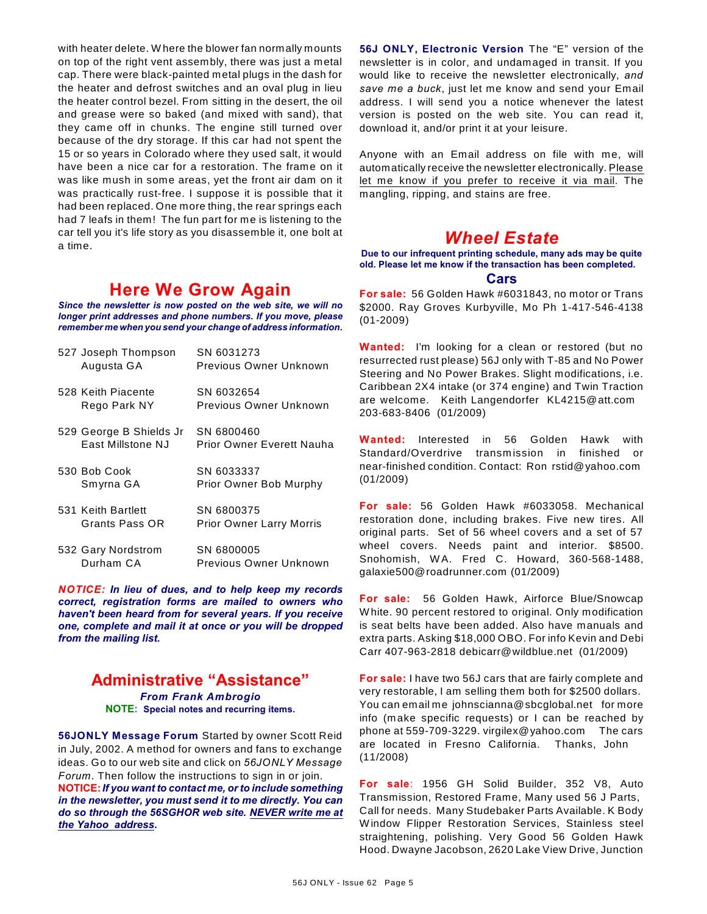with heater delete. W here the blower fan normally mounts on top of the right vent assembly, there was just a metal cap. There were black-painted metal plugs in the dash for the heater and defrost switches and an oval plug in lieu the heater control bezel. From sitting in the desert, the oil and grease were so baked (and mixed with sand), that they came off in chunks. The engine still turned over because of the dry storage. If this car had not spent the 15 or so years in Colorado where they used salt, it would have been a nice car for a restoration. The frame on it was like mush in some areas, yet the front air dam on it was practically rust-free. I suppose it is possible that it had been replaced. One more thing, the rear springs each had 7 leafs in them! The fun part for me is listening to the car tell you it's life story as you disassemble it, one bolt at a time.

# **Here We Grow Again**

*Since the newsletter is now posted on the web site, we will no longer print addresses and phone numbers. If you move, please remember me when you send your change of address information.*

| 527 Joseph Thompson<br>Augusta GA            | SN 6031273<br>Previous Owner Unknown          |
|----------------------------------------------|-----------------------------------------------|
| 528 Keith Piacente<br>Rego Park NY           | SN 6032654<br>Previous Owner Unknown          |
| 529 George B Shields Jr<br>East Millstone NJ | SN 6800460<br>Prior Owner Everett Nauha       |
| 530 Bob Cook<br>Smyrna GA                    | SN 6033337<br>Prior Owner Bob Murphy          |
| 531 Keith Bartlett<br>Grants Pass OR         | SN 6800375<br><b>Prior Owner Larry Morris</b> |
| 532 Gary Nordstrom<br>Durham CA              | SN 6800005<br>Previous Owner Unknown          |

*NOTICE: In lieu of dues, and to help keep my records correct, registration forms are mailed to owners who haven't been heard from for several years. If you receive one, complete and mail it at once or you will be dropped from the mailing list.*

# **Administrative "Assistance"**

*From Frank Ambrogio* **NOTE: Special notes and recurring items.**

**56JONLY Message Forum** Started by owner Scott Reid in July, 2002. A method for owners and fans to exchange ideas. Go to our web site and click on *56JONLY Message Forum*. Then follow the instructions to sign in or join. **NOTICE:***If you want to contact me, or to include something in the newsletter, you must send it to me directly. You can do so through the 56SGHOR web site. NEVER write me at the Yahoo address.*

**56J ONLY, Electronic Version** The "E" version of the newsletter is in color, and undamaged in transit. If you would like to receive the newsletter electronically, *and save me a buck*, just let me know and send your Email address. I will send you a notice whenever the latest version is posted on the web site. You can read it, download it, and/or print it at your leisure.

Anyone with an Email address on file with me, will automatically receive the newsletter electronically. Please let me know if you prefer to receive it via mail. The mangling, ripping, and stains are free.

# *Wheel Estate*

**Due to our infrequent printing schedule, many ads may be quite old. Please let me know if the transaction has been completed.**

#### **Cars**

**For sale:** 56 Golden Hawk #6031843, no motor or Trans \$2000. Ray Groves Kurbyville, Mo Ph 1-417-546-4138 (01-2009)

**Wanted:** I'm looking for a clean or restored (but no resurrected rust please) 56J only with T-85 and No Power Steering and No Power Brakes. Slight modifications, i.e. Caribbean 2X4 intake (or 374 engine) and Twin Traction are welcome. Keith Langendorfer KL4215@att.com 203-683-8406 (01/2009)

**Wanted:** Interested in 56 Golden Hawk with Standard/Overdrive transmission in finished or near-finished condition. Contact: Ron rstid@yahoo.com (01/2009)

**For sale:** 56 Golden Hawk #6033058. Mechanical restoration done, including brakes. Five new tires. All original parts. Set of 56 wheel covers and a set of 57 wheel covers. Needs paint and interior. \$8500. Snohomish, W A. Fred C. Howard, 360-568-1488, galaxie500@roadrunner.com (01/2009)

**For sale:** 56 Golden Hawk, Airforce Blue/Snowcap W hite. 90 percent restored to original. Only modification is seat belts have been added. Also have manuals and extra parts. Asking \$18,000 OBO. For info Kevin and Debi Carr 407-963-2818 debicarr@wildblue.net (01/2009)

**For sale:** I have two 56J cars that are fairly complete and very restorable, I am selling them both for \$2500 dollars. You can email me johnscianna@sbcglobal.net for more info (make specific requests) or I can be reached by phone at 559-709-3229. virgilex@yahoo.com The cars are located in Fresno California. Thanks, John (11/2008)

**For sale**: 1956 GH Solid Builder, 352 V8, Auto Transmission, Restored Frame, Many used 56 J Parts, Call for needs. Many Studebaker Parts Available. K Body W indow Flipper Restoration Services, Stainless steel straightening, polishing. Very Good 56 Golden Hawk Hood. Dwayne Jacobson, 2620 Lake View Drive, Junction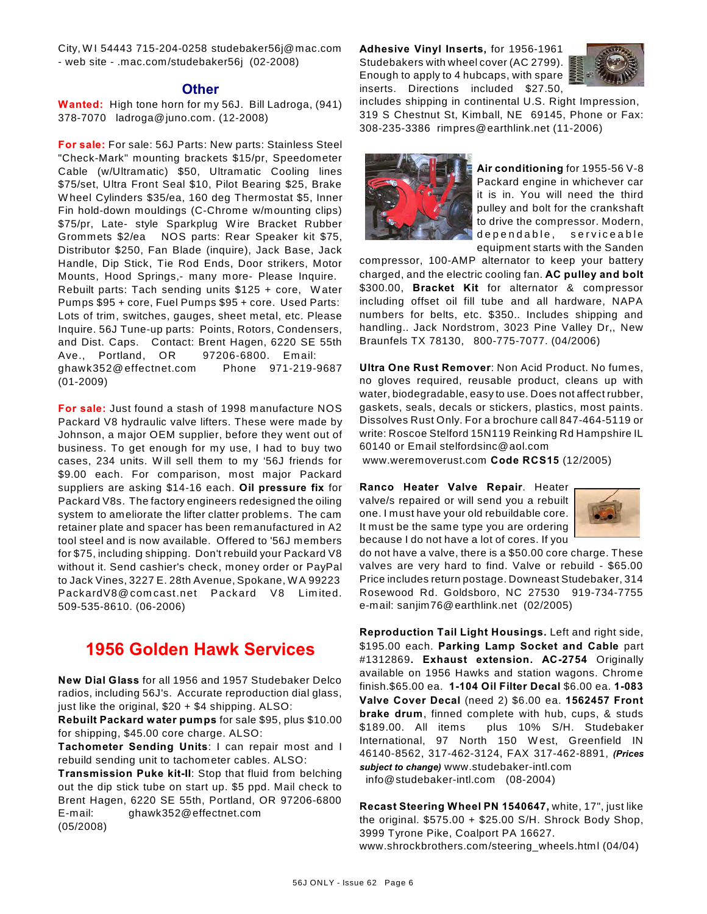City, W I 54443 715-204-0258 studebaker56j@mac.com - web site - .mac.com/studebaker56j (02-2008)

### **Other**

**Wanted:** High tone horn for my 56J. Bill Ladroga, (941) 378-7070 ladroga@juno.com. (12-2008)

**For sale:** For sale: 56J Parts: New parts: Stainless Steel "Check-Mark" mounting brackets \$15/pr, Speedometer Cable (w/Ultramatic) \$50, Ultramatic Cooling lines \$75/set, Ultra Front Seal \$10, Pilot Bearing \$25, Brake W heel Cylinders \$35/ea, 160 deg Thermostat \$5, Inner Fin hold-down mouldings (C-Chrome w/mounting clips) \$75/pr, Late- style Sparkplug W ire Bracket Rubber Grommets \$2/ea NOS parts: Rear Speaker kit \$75, Distributor \$250, Fan Blade (inquire), Jack Base, Jack Handle, Dip Stick, Tie Rod Ends, Door strikers, Motor Mounts, Hood Springs,- many more- Please Inquire. Rebuilt parts: Tach sending units \$125 + core, W ater Pumps \$95 + core, Fuel Pumps \$95 + core. Used Parts: Lots of trim, switches, gauges, sheet metal, etc. Please Inquire. 56J Tune-up parts: Points, Rotors, Condensers, and Dist. Caps. Contact: Brent Hagen, 6220 SE 55th Ave., Portland, OR 97206-6800. Em ail: ghawk352@effectnet.com Phone 971-219-9687 (01-2009)

**For sale:** Just found a stash of 1998 manufacture NOS Packard V8 hydraulic valve lifters. These were made by Johnson, a major OEM supplier, before they went out of business. To get enough for my use, I had to buy two cases, 234 units. W ill sell them to my '56J friends for \$9.00 each. For comparison, most major Packard suppliers are asking \$14-16 each. **Oil pressure fix** for Packard V8s. The factory engineers redesigned the oiling system to ameliorate the lifter clatter problems. The cam retainer plate and spacer has been remanufactured in A2 tool steel and is now available. Offered to '56J members for \$75, including shipping. Don't rebuild your Packard V8 without it. Send cashier's check, money order or PayPal to Jack Vines, 3227 E. 28th Avenue, Spokane, W A 99223 PackardV8@ com cast.net Packard V8 Lim ited. 509-535-8610. (06-2006)

# **1956 Golden Hawk Services**

**New Dial Glass** for all 1956 and 1957 Studebaker Delco radios, including 56J's. Accurate reproduction dial glass, just like the original,  $$20 + $4$  shipping. ALSO:

**Rebuilt Packard water pumps** for sale \$95, plus \$10.00 for shipping, \$45.00 core charge. ALSO:

**Tachometer Sending Units**: I can repair most and I rebuild sending unit to tachometer cables. ALSO:

**Transmission Puke kit-II**: Stop that fluid from belching out the dip stick tube on start up. \$5 ppd. Mail check to Brent Hagen, 6220 SE 55th, Portland, OR 97206-6800 E-mail: ghawk352@effectnet.com (05/2008)

**Adhesive Vinyl Inserts,** for 1956-1961 Studebakers with wheel cover (AC 2799). Enough to apply to 4 hubcaps, with spare inserts. Directions included \$27.50,



includes shipping in continental U.S. Right Impression, 319 S Chestnut St, Kimball, NE 69145, Phone or Fax: 308-235-3386 rimpres@earthlink.net (11-2006)



**Air conditioning** for 1955-56 V-8 Packard engine in whichever car it is in. You will need the third pulley and bolt for the crankshaft to drive the compressor. Modern, dependable, serviceable equipment starts with the Sanden

compressor, 100-AMP alternator to keep your battery charged, and the electric cooling fan. **AC pulley and bolt** \$300.00, **Bracket Kit** for alternator & compressor including offset oil fill tube and all hardware, NAPA numbers for belts, etc. \$350.. Includes shipping and handling.. Jack Nordstrom, 3023 Pine Valley Dr,, New Braunfels TX 78130, 800-775-7077. (04/2006)

**Ultra One Rust Remover**: Non Acid Product. No fumes, no gloves required, reusable product, cleans up with water, biodegradable, easy to use. Does not affect rubber, gaskets, seals, decals or stickers, plastics, most paints. Dissolves Rust Only. For a brochure call 847-464-5119 or write: Roscoe Stelford 15N119 Reinking Rd Hampshire IL 60140 or Email stelfordsinc@aol.com

www.weremoverust.com **Code RCS15** (12/2005)

**Ranco Heater Valve Repair**. Heater valve/s repaired or will send you a rebuilt one. I must have your old rebuildable core. It must be the same type you are ordering because I do not have a lot of cores. If you



do not have a valve, there is a \$50.00 core charge. These valves are very hard to find. Valve or rebuild - \$65.00 Price includes return postage. Downeast Studebaker, 314 Rosewood Rd. Goldsboro, NC 27530 919-734-7755 e-mail: sanjim76@earthlink.net (02/2005)

**Reproduction Tail Light Housings.** Left and right side, \$195.00 each. **Parking Lamp Socket and Cable** part #1312869**. Exhaust extension. AC-2754** Originally available on 1956 Hawks and station wagons. Chrome finish.\$65.00 ea. **1-104 Oil Filter Decal** \$6.00 ea. **1-083 Valve Cover Decal** (need 2) \$6.00 ea. **1562457 Front brake drum**, finned complete with hub, cups, & studs \$189.00. All items plus 10% S/H. Studebaker International, 97 North 150 W est, Greenfield IN 46140-8562, 317-462-3124, FAX 317-462-8891, *(Prices subject to change)* www.studebaker-intl.com info@studebaker-intl.com (08-2004)

**Recast Steering Wheel PN 1540647,** white, 17", just like the original.  $$575.00 + $25.00$  S/H. Shrock Body Shop, 3999 Tyrone Pike, Coalport PA 16627. www.shrockbrothers.com/steering\_wheels.html (04/04)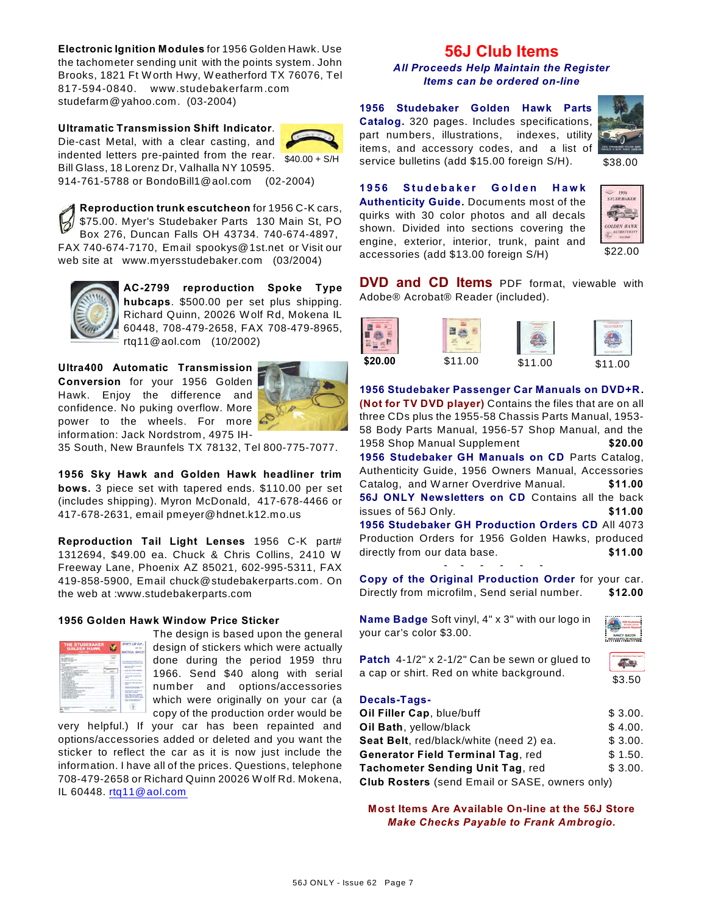**Electronic Ignition Modules** for 1956 Golden Hawk. Use the tachometer sending unit with the points system. John Brooks, 1821 Ft W orth Hwy, W eatherford TX 76076, Tel 817-594-0840. www.studebakerfarm .com studefarm@yahoo.com. (03-2004)

**Ultramatic Transmission Shift Indicator**. Die-cast Metal, with a clear casting, and indented letters pre-painted from the rear. Bill Glass, 18 Lorenz Dr, Valhalla NY 10595.



914-761-5788 or BondoBill1@aol.com (02-2004)

**Reproduction trunk escutcheon** for 1956 C-K cars, \$75.00. Myer's Studebaker Parts 130 Main St, PO Box 276, Duncan Falls OH 43734. 740-674-4897, FAX 740-674-7170, Email spookys@1st.net or Visit our web site at www.myersstudebaker.com (03/2004)



**AC-2799 reproduction Spoke Type hubcaps**. \$500.00 per set plus shipping. Richard Quinn, 20026 W olf Rd, Mokena IL 60448, 708-479-2658, FAX 708-479-8965, rtq11@aol.com (10/2002)

**Ultra400 Automatic Transmission Conversion** for your 1956 Golden Hawk. Enjoy the difference and confidence. No puking overflow. More power to the wheels. For more information: Jack Nordstrom, 4975 IH-



35 South, New Braunfels TX 78132, Tel 800-775-7077.

**1956 Sky Hawk and Golden Hawk headliner trim bows.** 3 piece set with tapered ends. \$110.00 per set (includes shipping). Myron McDonald, 417-678-4466 or 417-678-2631, email pmeyer@hdnet.k12.mo.us

**Reproduction Tail Light Lenses** 1956 C-K part# 1312694, \$49.00 ea. Chuck & Chris Collins, 2410 W Freeway Lane, Phoenix AZ 85021, 602-995-5311, FAX 419-858-5900, Email chuck@studebakerparts.com. On the web at :www.studebakerparts.com

## **1956 Golden Hawk Window Price Sticker**

| <b>THE STUDEBAKER</b><br><b>GOLDEN HAWK</b>                                                                                                                              |   | <b>DOPT CA</b><br><b>ACTES</b>                                                                                                                                              |
|--------------------------------------------------------------------------------------------------------------------------------------------------------------------------|---|-----------------------------------------------------------------------------------------------------------------------------------------------------------------------------|
| <b><i>Charles for the first</i></b><br><b>STELLAR</b><br>۰<br>٠<br>۰<br>٠<br>×<br>œ<br>-<br>$\sim$<br><b>SIGNER</b><br>٠<br>٠<br>٠<br>÷<br><b>COMPANY</b><br><b>RAYS</b> | ۰ | The Antique<br>----<br><br>٠<br>---<br>____<br>were they every late<br>٠<br>and Athaban and Con-<br>т<br><b><i><u>Property</u> St. 2004</i></b><br>۱<br><b>MENTING BEES</b> |
| m                                                                                                                                                                        |   |                                                                                                                                                                             |

The design is based upon the general design of stickers which were actually done during the period 1959 thru 1966. Send \$40 along with serial number and options/accessories which were originally on your car (a copy of the production order would be

very helpful.) If your car has been repainted and options/accessories added or deleted and you want the sticker to reflect the car as it is now just include the information. I have all of the prices. Questions, telephone 708-479-2658 or Richard Quinn 20026 W olf Rd. Mokena, IL 60448. [rtq11@aol.com](mailto:rtq11@aol.com)

# **56J Club Items**

*All Proceeds Help Maintain the Register Items can be ordered on-line*

\$40.00 + S/H service bulletins (add \$15.00 foreign S/H). \$38.00 **1956 Studebaker Golden Hawk Parts Catalog.** 320 pages. Includes specifications, part numbers, illustrations, indexes, utility items, and accessory codes, and a list of



**1956 Studebaker Golden Hawk** 

**Authenticity Guide.** Documents most of the quirks with 30 color photos and all decals shown. Divided into sections covering the engine, exterior, interior, trunk, paint and accessories (add \$13.00 foreign S/H)



**DVD and CD Items** PDF format, viewable with Adobe® Acrobat® Reader (included).

|         |         |         | <b>The Real Property</b> |
|---------|---------|---------|--------------------------|
| \$20.00 | \$11.00 | \$11.00 | \$11.<br>∩∩              |

**1956 Studebaker Passenger Car Manuals on DVD+R. (Not for TV DVD player)** Contains the files that are on all three CDs plus the 1955-58 Chassis Parts Manual, 1953- 58 Body Parts Manual, 1956-57 Shop Manual, and the 1958 Shop Manual Supplement **\$20.00 1956 Studebaker GH Manuals on CD** Parts Catalog, Authenticity Guide, 1956 Owners Manual, Accessories Catalog, and W arner Overdrive Manual. **\$11.00 56J ONLY Newsletters on CD** Contains all the back issues of 56J Only. **\$11.00 1956 Studebaker GH Production Orders CD** All 4073 Production Orders for 1956 Golden Hawks, produced directly from our data base. **\$11.00** 

**Copy of the Original Production Order** for your car. Directly from microfilm, Send serial number. **\$12.00**

- - - - - -

**Name Badge** Soft vinyl, 4" x 3" with our logo in your car's color \$3.00.



**Patch** 4-1/2" x 2-1/2" Can be sewn or glued to a cap or shirt. Red on white background.



#### **Decals-Tags-**

| Oil Filler Cap, blue/buff                             | \$3.00. |
|-------------------------------------------------------|---------|
| Oil Bath, yellow/black                                | \$4.00. |
| Seat Belt, red/black/white (need 2) ea.               | \$3.00. |
| <b>Generator Field Terminal Tag, red</b>              | \$1.50. |
| Tachometer Sending Unit Tag, red                      | \$3.00. |
| <b>Club Rosters</b> (send Email or SASE, owners only) |         |

**Most Items Are Available On-line at the 56J Store** *Make Checks Payable to Frank Ambrogio.*